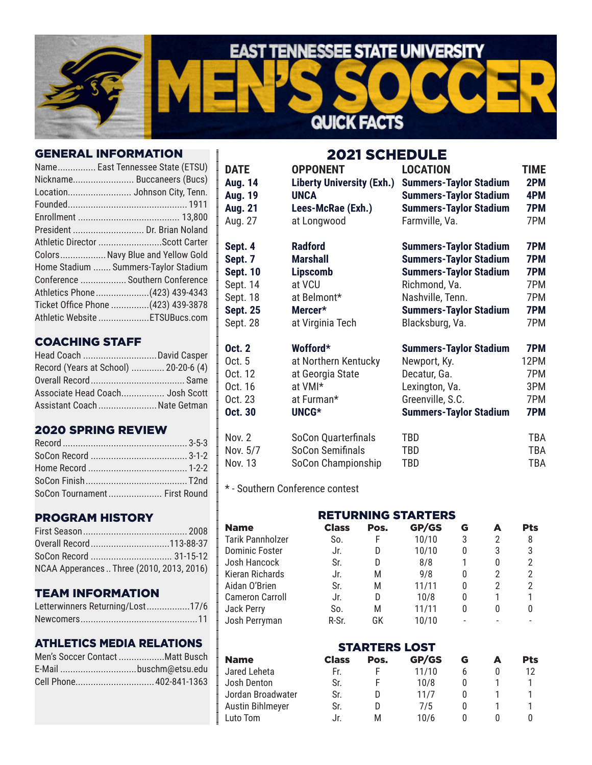

#### GENERAL INFORMATION

| Name East Tennessee State (ETSU)     |
|--------------------------------------|
| Nickname Buccaneers (Bucs)           |
| Location Johnson City, Tenn.         |
|                                      |
|                                      |
| President  Dr. Brian Noland          |
| Athletic Director Scott Carter       |
| Colors Navy Blue and Yellow Gold     |
| Home Stadium  Summers-Taylor Stadium |
| Conference  Southern Conference      |
| Athletics Phone (423) 439-4343       |
| Ticket Office Phone  (423) 439-3878  |
| Athletic Website ETSUBucs.com        |
|                                      |

## COACHING STAFF

| Head Coach  David Casper              |  |
|---------------------------------------|--|
| Record (Years at School)  20-20-6 (4) |  |
|                                       |  |
| Associate Head Coach Josh Scott       |  |
| Assistant Coach  Nate Getman          |  |

### 2020 SPRING REVIEW

| SoCon Tournament First Round |  |
|------------------------------|--|

## PROGRAM HISTORY

| SoCon Record  31-15-12                    |  |
|-------------------------------------------|--|
| NCAA Apperances  Three (2010, 2013, 2016) |  |

#### TEAM INFORMATION

| Letterwinners Returning/Lost17/6 |  |
|----------------------------------|--|
|                                  |  |

## ATHLETICS MEDIA RELATIONS

| Men's Soccer Contact Matt Busch |  |
|---------------------------------|--|
|                                 |  |
| Cell Phone 402-841-1363         |  |

2021 SCHEDULE

| <b>DATE</b>     | <b>OPPONENT</b>                  | <b>LOCATION</b>               | <b>TIME</b> |
|-----------------|----------------------------------|-------------------------------|-------------|
| <b>Aug. 14</b>  | <b>Liberty University (Exh.)</b> | <b>Summers-Taylor Stadium</b> | 2PM         |
| <b>Aug. 19</b>  | <b>UNCA</b>                      | <b>Summers-Taylor Stadium</b> | 4PM         |
| Aug. 21         | Lees-McRae (Exh.)                | <b>Summers-Taylor Stadium</b> | 7PM         |
| Aug. 27         | at Longwood                      | Farmville, Va.                | 7PM         |
| Sept. 4         | <b>Radford</b>                   | <b>Summers-Taylor Stadium</b> | 7PM         |
| Sept. 7         | <b>Marshall</b>                  | <b>Summers-Taylor Stadium</b> | 7PM         |
| <b>Sept. 10</b> | <b>Lipscomb</b>                  | <b>Summers-Taylor Stadium</b> | 7PM         |
| Sept. 14        | at VCU                           | Richmond, Va.                 | 7PM         |
| Sept. 18        | at Belmont*                      | Nashville, Tenn.              | 7PM         |
| <b>Sept. 25</b> | Mercer*                          | <b>Summers-Taylor Stadium</b> | 7PM         |
| Sept. 28        | at Virginia Tech                 | Blacksburg, Va.               | 7PM         |
| <b>Oct. 2</b>   | Wofford*                         | <b>Summers-Taylor Stadium</b> | 7PM         |
| Oct. 5          | at Northern Kentucky             | Newport, Ky.                  | 12PM        |
| Oct. 12         | at Georgia State                 | Decatur, Ga.                  | 7PM         |
| Oct. 16         | at VMI*                          | Lexington, Va.                | 3PM         |
| Oct. 23         | at Furman*                       | Greenville, S.C.              | 7PM         |
| Oct. 30         | UNCG*                            | <b>Summers-Taylor Stadium</b> | 7PM         |
| <b>Nov. 2</b>   | SoCon Quarterfinals              | TBD                           | TBA         |
| Nov. 5/7        | SoCon Semifinals                 | TBD                           | TBA         |
| Nov. 13         | SoCon Championship               | TBD                           | TBA         |

\* - Southern Conference contest

| <b>RETURNING STARTERS</b> |              |      |       |   |   |     |
|---------------------------|--------------|------|-------|---|---|-----|
| <b>Name</b>               | <b>Class</b> | Pos. | GP/GS | G |   | Pts |
| Tarik Pannholzer          | So.          | F    | 10/10 | 3 | 2 | 8   |
| Dominic Foster            | Jr.          | D    | 10/10 | 0 | 3 | 3   |
| Josh Hancock              | Sr.          | D    | 8/8   |   | 0 |     |
| Kieran Richards           | Jr.          | М    | 9/8   | 0 |   |     |
| Aidan O'Brien             | Sr.          | М    | 11/11 | 0 | 2 |     |
| Cameron Carroll           | Jr.          | D    | 10/8  | 0 |   |     |
| Jack Perry                | So.          | М    | 11/11 | 0 | 0 |     |
| Josh Perryman             | R-Sr.        | GK   | 10/10 |   |   |     |

#### STARTERS LOST

| <b>Name</b>       | <b>Class</b> | Pos. | GP/GS | G | Pts |
|-------------------|--------------|------|-------|---|-----|
| Jared Leheta      | Fr.          |      | 11/10 |   |     |
| Josh Denton       | Sr.          |      | 10/8  |   |     |
| Jordan Broadwater | Sr.          |      | 11/7  |   |     |
| Austin Bihlmeyer  | Sr.          | D    | 7/5   |   |     |
| Luto Tom          | Jr.          | м    | 10/6  |   |     |
|                   |              |      |       |   |     |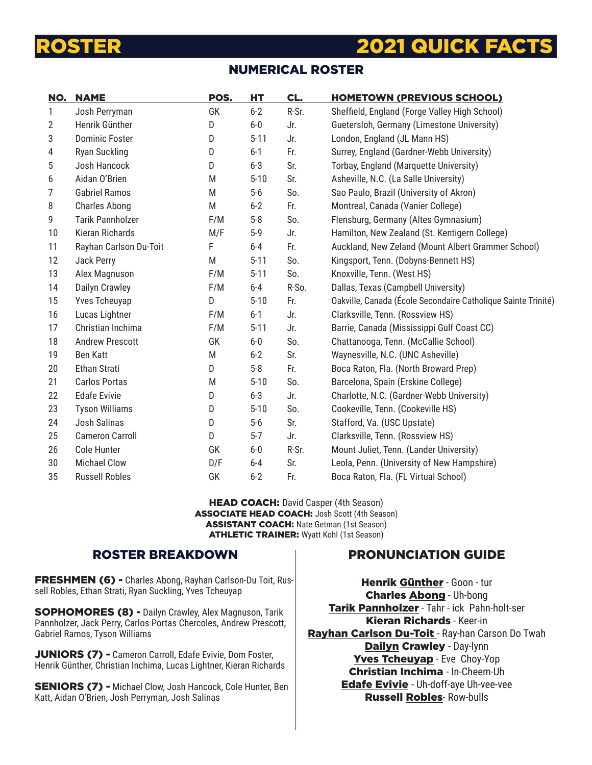# **2021 QUICK FACT**

# NUMERICAL ROSTER

| NO. | <b>NAME</b>             | POS. | HT       | CL.   | <b>HOMETOWN (PREVIOUS SCHOOL)</b>                             |
|-----|-------------------------|------|----------|-------|---------------------------------------------------------------|
| 1   | Josh Perryman           | GK   | $6 - 2$  | R-Sr. | Sheffield, England (Forge Valley High School)                 |
| 2   | Henrik Günther          | D    | $6-0$    | Jr.   | Guetersloh, Germany (Limestone University)                    |
| 3   | <b>Dominic Foster</b>   | D    | $5 - 11$ | Jr.   | London, England (JL Mann HS)                                  |
| 4   | Ryan Suckling           | D    | $6 - 1$  | Fr.   | Surrey, England (Gardner-Webb University)                     |
| 5   | Josh Hancock            | D    | $6 - 3$  | Sr.   | Torbay, England (Marquette University)                        |
| 6   | Aidan O'Brien           | M    | $5 - 10$ | Sr.   | Asheville, N.C. (La Salle University)                         |
| 7   | <b>Gabriel Ramos</b>    | M    | $5-6$    | So.   | Sao Paulo, Brazil (University of Akron)                       |
| 8   | <b>Charles Abong</b>    | M    | $6 - 2$  | Fr.   | Montreal, Canada (Vanier College)                             |
| 9   | <b>Tarik Pannholzer</b> | F/M  | $5-8$    | So.   | Flensburg, Germany (Altes Gymnasium)                          |
| 10  | Kieran Richards         | M/F  | $5-9$    | Jr.   | Hamilton, New Zealand (St. Kentigern College)                 |
| 11  | Rayhan Carlson Du-Toit  | F    | $6-4$    | Fr.   | Auckland, New Zeland (Mount Albert Grammer School)            |
| 12  | Jack Perry              | M    | $5 - 11$ | So.   | Kingsport, Tenn. (Dobyns-Bennett HS)                          |
| 13  | Alex Magnuson           | F/M  | $5 - 11$ | So.   | Knoxville, Tenn. (West HS)                                    |
| 14  | Dailyn Crawley          | F/M  | $6-4$    | R-So. | Dallas, Texas (Campbell University)                           |
| 15  | Yves Tcheuyap           | D    | $5 - 10$ | Fr.   | Oakville, Canada (École Secondaire Catholique Sainte Trinité) |
| 16  | Lucas Lightner          | F/M  | $6 - 1$  | Jr.   | Clarksville, Tenn. (Rossview HS)                              |
| 17  | Christian Inchima       | F/M  | $5 - 11$ | Jr.   | Barrie, Canada (Mississippi Gulf Coast CC)                    |
| 18  | <b>Andrew Prescott</b>  | GK   | $6-0$    | So.   | Chattanooga, Tenn. (McCallie School)                          |
| 19  | <b>Ben Katt</b>         | M    | $6 - 2$  | Sr.   | Waynesville, N.C. (UNC Asheville)                             |
| 20  | Ethan Strati            | D    | $5-8$    | Fr.   | Boca Raton, Fla. (North Broward Prep)                         |
| 21  | <b>Carlos Portas</b>    | M    | $5 - 10$ | So.   | Barcelona, Spain (Erskine College)                            |
| 22  | <b>Edafe Evivie</b>     | D    | $6 - 3$  | Jr.   | Charlotte, N.C. (Gardner-Webb University)                     |
| 23  | <b>Tyson Williams</b>   | D    | $5 - 10$ | So.   | Cookeville, Tenn. (Cookeville HS)                             |
| 24  | Josh Salinas            | D    | $5-6$    | Sr.   | Stafford, Va. (USC Upstate)                                   |
| 25  | <b>Cameron Carroll</b>  | D    | $5-7$    | Jr.   | Clarksville, Tenn. (Rossview HS)                              |
| 26  | Cole Hunter             | GK   | $6-0$    | R-Sr. | Mount Juliet, Tenn. (Lander University)                       |
| 30  | <b>Michael Clow</b>     | D/F  | 6-4      | Sr.   | Leola, Penn. (University of New Hampshire)                    |
| 35  | <b>Russell Robles</b>   | GK   | $6 - 2$  | Fr.   | Boca Raton, Fla. (FL Virtual School)                          |

HEAD COACH: David Casper (4th Season) ASSOCIATE HEAD COACH: Josh Scott (4th Season) ASSISTANT COACH: Nate Getman (1st Season) ATHLETIC TRAINER: Wyatt Kohl (1st Season)

### ROSTER BREAKDOWN

FRESHMEN (6) - Charles Abong, Rayhan Carlson-Du Toit, Russell Robles, Ethan Strati, Ryan Suckling, Yves Tcheuyap

SOPHOMORES (8) - Dailyn Crawley, Alex Magnuson, Tarik Pannholzer, Jack Perry, Carlos Portas Chercoles, Andrew Prescott, Gabriel Ramos, Tyson Williams

JUNIORS (7) - Cameron Carroll, Edafe Evivie, Dom Foster, Henrik Günther, Christian Inchima, Lucas Lightner, Kieran Richards

SENIORS (7) - Michael Clow, Josh Hancock, Cole Hunter, Ben Katt, Aidan O'Brien, Josh Perryman, Josh Salinas

# PRONUNCIATION GUIDE

Henrik Günther - Goon - tur Charles Abong - Uh-bong Tarik Pannholzer - Tahr - ick Pahn-holt-ser Kieran Richards - Keer-in Rayhan Carlson Du-Toit - Ray-han Carson Do Twah Dailyn Crawley - Day-lynn Yves Tcheuyap - Eve Choy-Yop Christian Inchima - In-Cheem-Uh **Edafe Evivie** - Uh-doff-aye Uh-vee-vee Russell Robles- Row-bulls